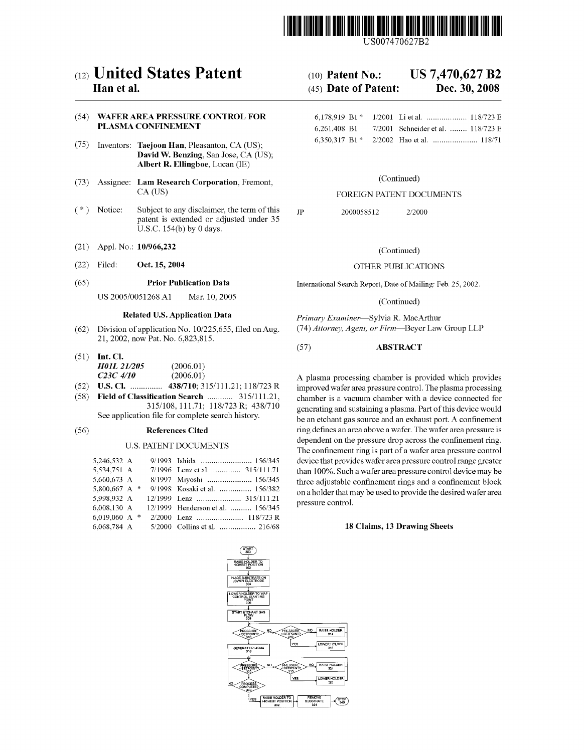

US007470627B2

# (12) United States Patent (10) Patent No.: US 7,470,627 B2

## Han et a]. (45) Date of Patent: Dec. 30, 2008

## (54) WAFER AREA PRESSURE CONTROL FOR PLASMA CONFINEMENT

- (75) Inventors: Taejoon Han' Pleasanton' CA (Us); 6,350,317 B1 2/2002 Hao et al. ................... .. 118/71 David W. Benzing, San Jose, CA (US); Albert R. Ellingboe, Lucan (1E)
- (73) Assignee: Lam Research Corporation, Fremont, (Continued) CA (US) FOREIGN PATENT DOCUMENTS
- (\*) Notice: Subject to any disclaimer, the term of this  $\qquad$   $\qquad$   $\qquad$   $\qquad$   $\qquad$  2000058512  $\qquad$  2/2000 patent is extended or adjusted under 35 U.S.C. 154(b) by 0 days.
- (21) Appl. N0.: 10/966,232 (Continued)
- (22) Filed: Oct- 15, 2004 OTHER PUBLICATIONS

## (65) **Prior Publication Data** International Search Report, Date of Mailing: Feb. 25, 2002.

US 2005/0051268 A1 Mar. 10, 2005 (Continued)

- 21, 2002, noW Pat. No. 6,823,815.
- (51) Int. Cl. H01L 21/205 (2006.01)<br>C23C 4/10 (2006.01)
- 
- 

## U.S. PATENT DOCUMENTS

| 5.246.532 A     | 9/1993 Ishida  156/345            |
|-----------------|-----------------------------------|
| 5.534.751 A     | 7/1996 Lenz et al.  315/111.71    |
| 5,660,673 A     | 8/1997 Miyoshi  156/345           |
| 5,800,667 A $*$ | 9/1998 Kosaki et al.  156/382     |
| 5,998,932 A     |                                   |
| 6.008.130 A     | 12/1999 Henderson et al.  156/345 |
| 6.019.060 A $*$ |                                   |
| 6.068.784 A     | 5/2000 Collins et al.  216/68     |

|                            |  | 6.178.919 B1 * 1/2001 Li et al.  118/723 E |        |
|----------------------------|--|--------------------------------------------|--------|
| 6.261.408 B1               |  | 7/2001 Schneider et al.  118/723 E         |        |
| 6350317 B1* 2/2002 Haoetal |  |                                            | 118/71 |

Related U.S. Application Data Primary Examiner-Sylvia R. MacArthur (62) Division of application No. 10/225,655, filed on Aug. (74) Attorney, Agent, or Firm—Beyer Law Group LLP

## (57) ABSTRACT

C23C 4/10 (2006.01) A plasma processing chamber is provided which provides<br>U.S. Cl. ................. 438/710; 315/111.21; 118/723 R improved wafer area pressure control. The plasma processing (52) U.S. Cl.  $\ldots$  438/710; 315/111.21; 118/723 R improved wafer area pressure control. The plasma processing (58) Field of Classification Search  $\ldots$  315/111.21, chamber is a vacuum chamber with a device connected for (58) Field of Classi?cation Search .......... .. 315/ 111.21, Chamber is a Vacuum Chamber with a device Connected for  $\frac{315/108}{111.71}$ ;  $\frac{118/723}{18}$  R;  $\frac{438}{710}$  generating and sustaining a plasma. Part of this device would be an etchant gas source and an exhaust port. A confinement (56) **References Cited ring defines an area above a wafer. The wafer area pressure is** dependent on the pressure drop across the confinement ring. The confinement ring is part of a wafer area pressure control device that provides Wafer area pressure control range greater than 100%. Such a Wafer area pressure control device may be three adjustable confinement rings and a confinement block on a holder that may be used to provide the desired Wafer area pressure control.

## 18 Claims, 13 Drawing Sheets

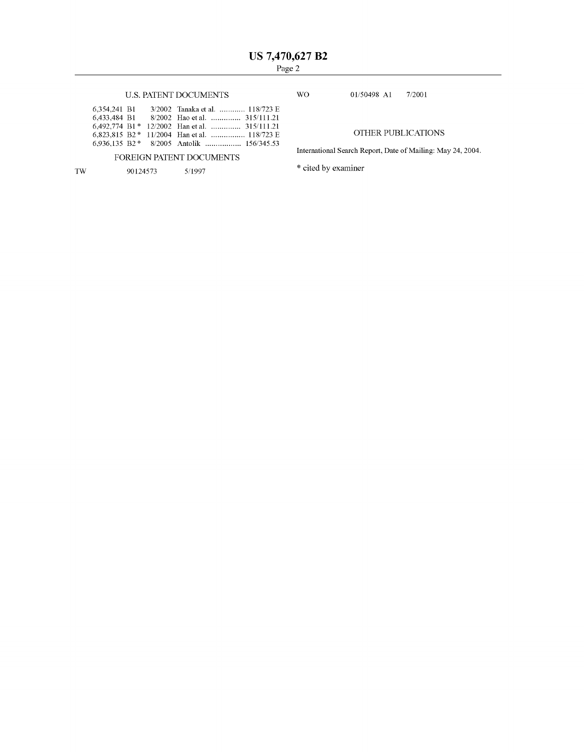## U.S. PATENT DOCUMENTS WO 01/50498 A1  $7/2001$

## 6,354,241 B1 3/2002 Tanakaetal. ....... .. 118/723E 6,433,484 B1 8/2002 Hao et al. ............... 315/111.21 6,492,774 Bl\* 12/2002 Hanetal. . 315/111.21 6,823,815 B2\* 11/2004 Han etal. ........... .. 118/723E OTHER PUBLICATIONS 6,936,135 B2\* 8/2005 Antolik ............... .. 156/345.53

International Search Report, Date of Mailing: May 24, 2004.

\* cited by examiner

## TW

90124573 5/1997

FOREIGN PATENT DOCUMENTS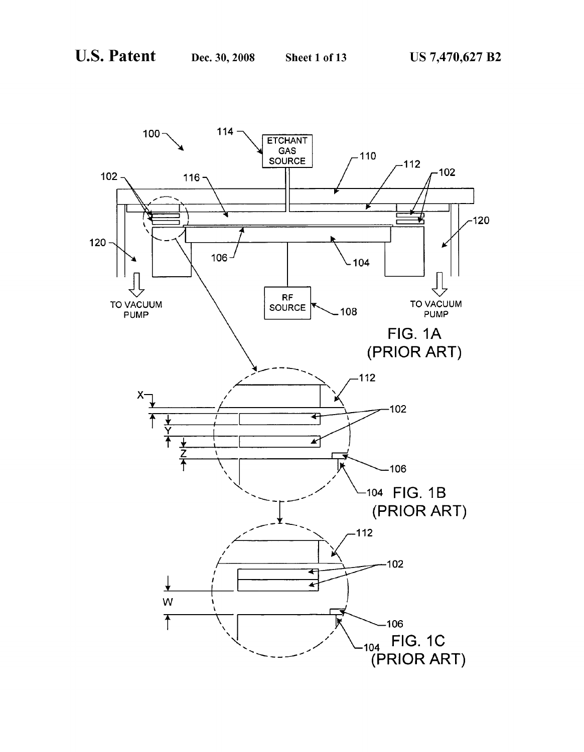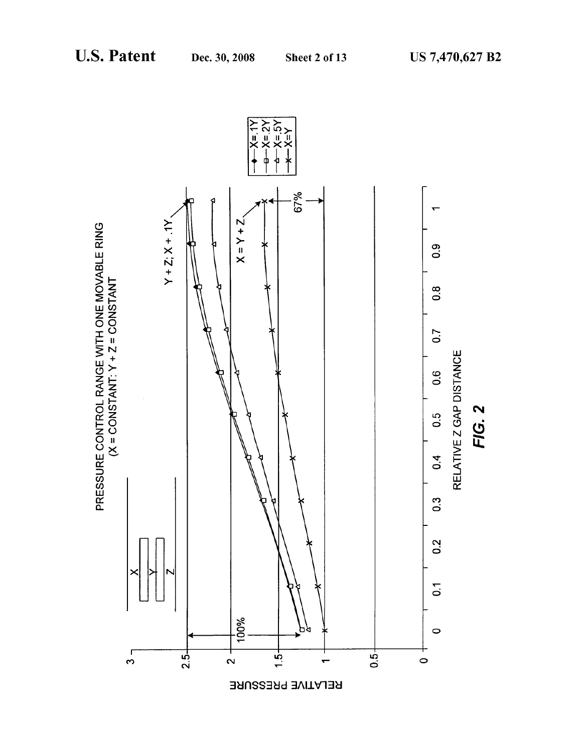Sheet 2 of 13

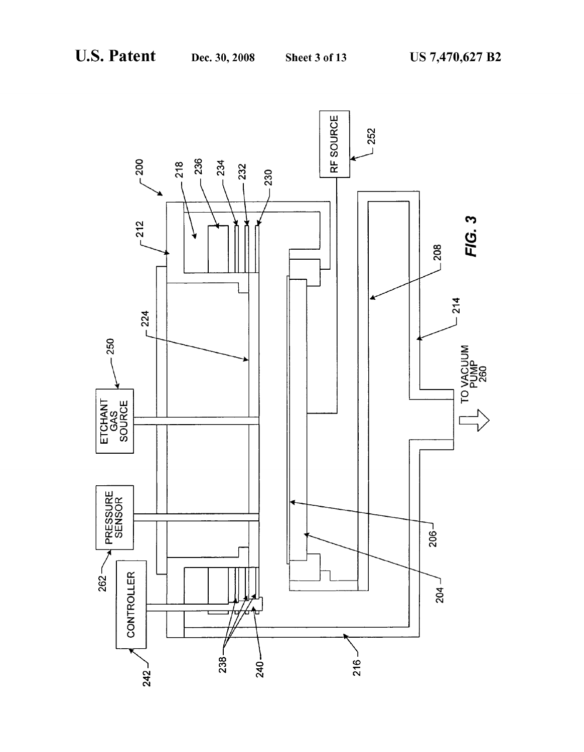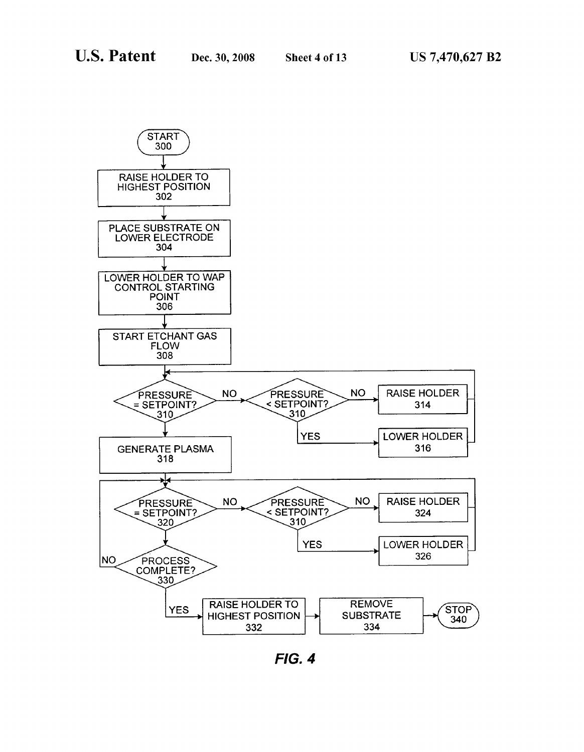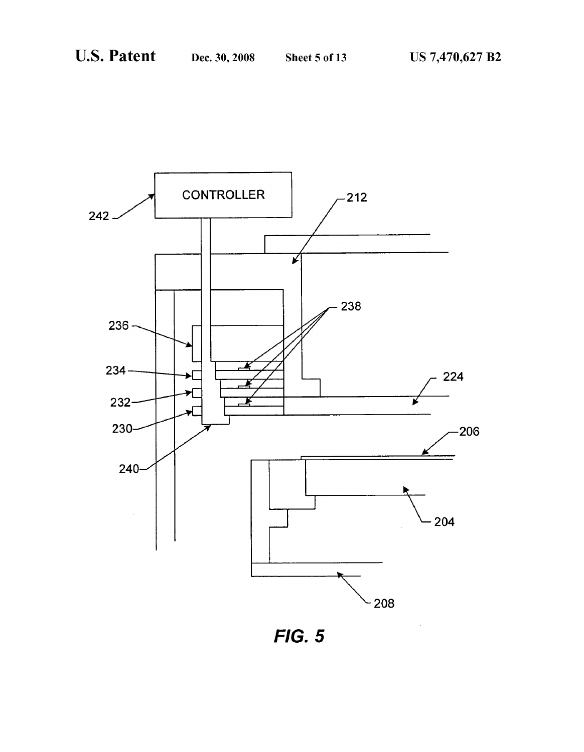

FIG. 5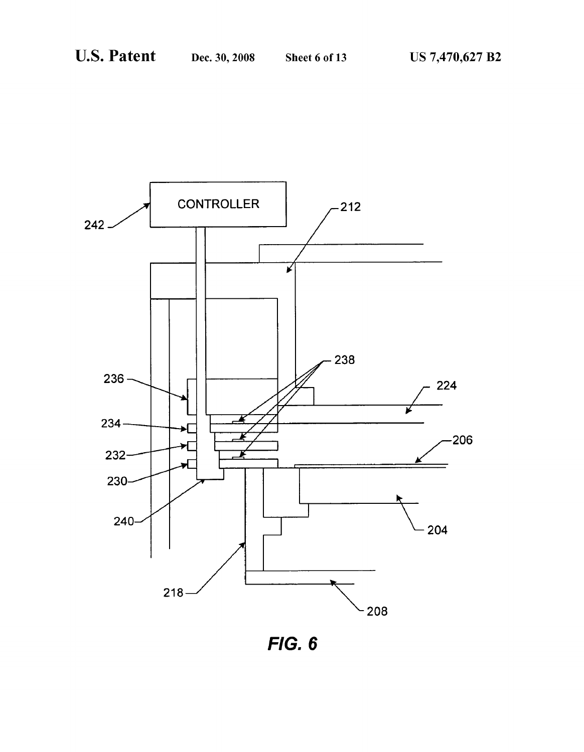

FIG. 6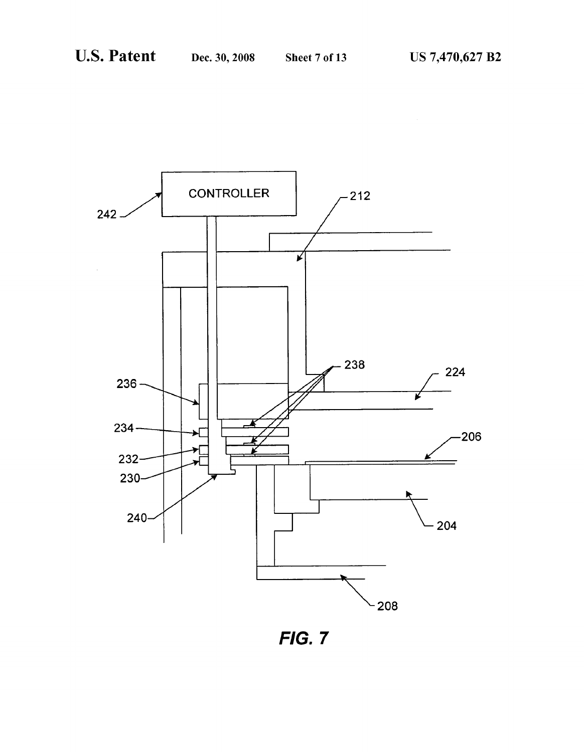

**FIG. 7**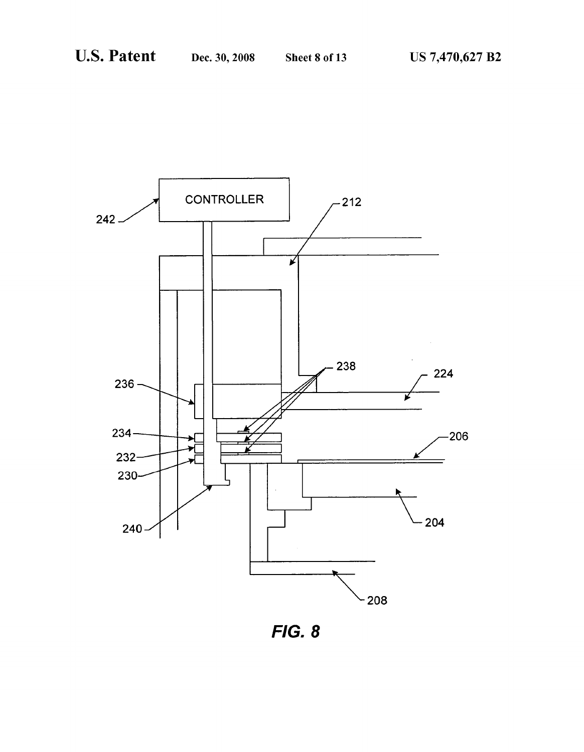

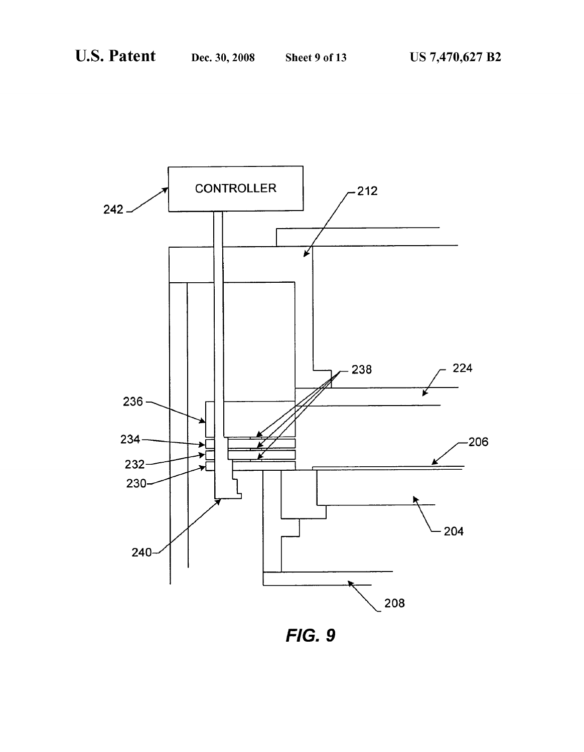

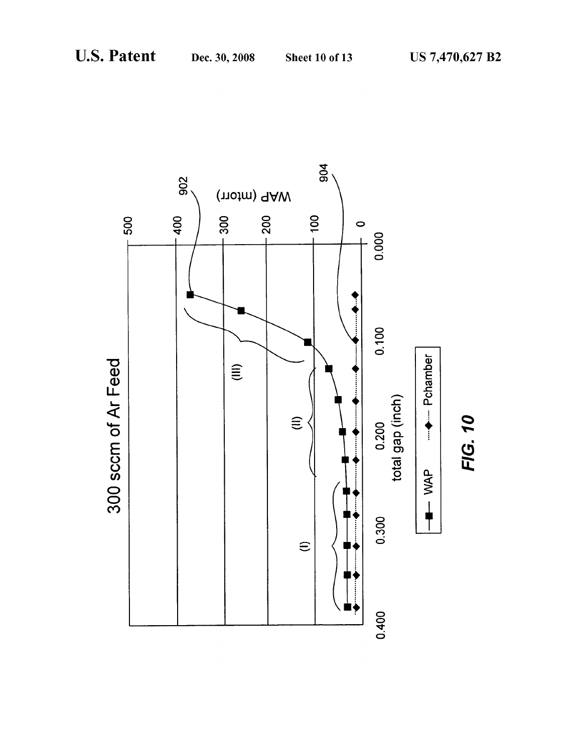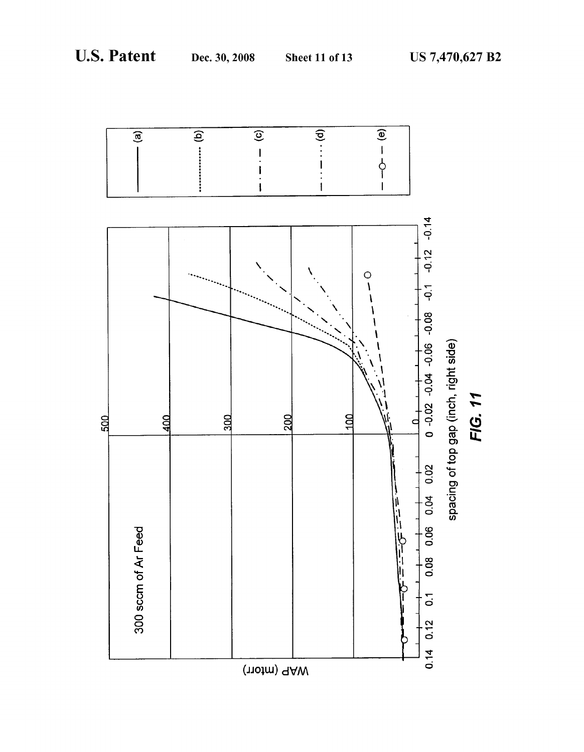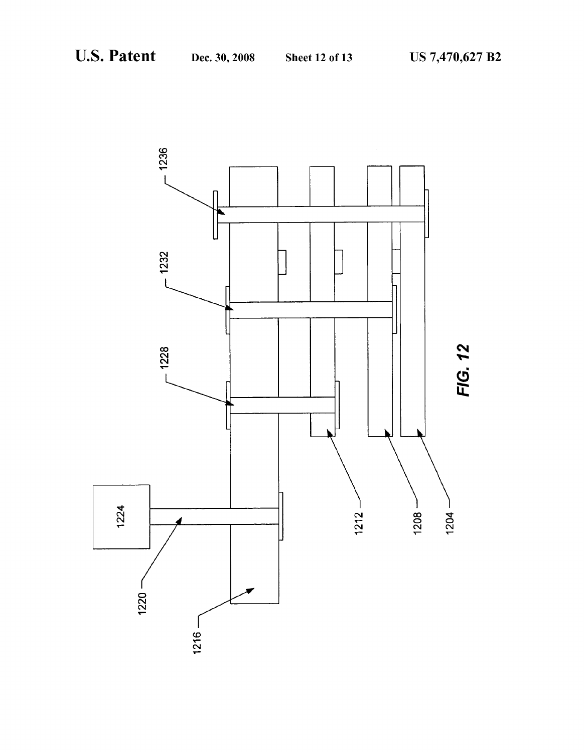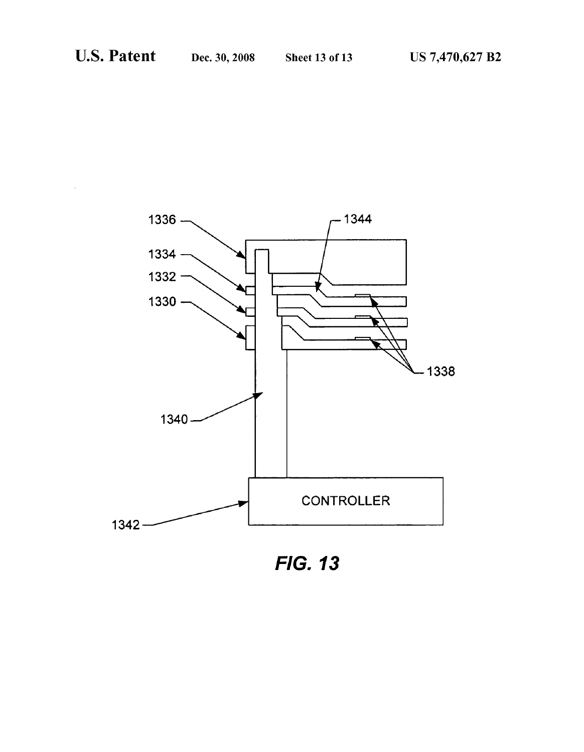

FIG. 13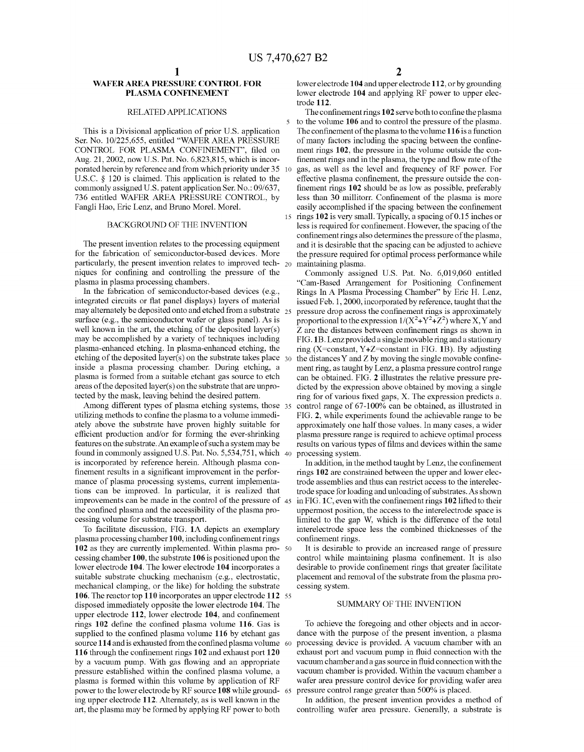## WAFER AREA PRESSURE CONTROL FOR PLASMA CONFINEMENT

### RELATED APPLICATIONS

This is a Divisional application of prior US. application Ser. No. 10/225,655, entitled "WAFER AREA PRESSURE CONTROL FOR PLASMA CONFINEMENT", filed on Aug. 21, 2002, now U.S. Pat. No. 6,823,815, which is incorporated herein by reference and from Which priority under 35 U.S.C. § 120 is claimed. This application is related to the commonly assigned US. patent application Ser. No.: 09/637, 736 entitled WAFER AREA PRESSURE CONTROL, by Fangli Hao, Eric Lenz, and Bruno Morel. Morel.

## BACKGROUND OF THE INVENTION

The present invention relates to the processing equipment for the fabrication of semiconductor-based devices. More particularly, the present invention relates to improved tech-  $_{20}$ niques for confining and controlling the pressure of the plasma in plasma processing chambers.

In the fabrication of semiconductor-based devices (e.g., integrated circuits or flat panel displays) layers of material may alternately be deposited onto and etched from a substrate  $_{25}$ surface (e.g., the semiconductor Wafer or glass panel). As is well known in the art, the etching of the deposited layer(s) may be accomplished by a variety of techniques including plasma-enhanced etching. In plasma-enhanced etching, the etching of the deposited layer(s) on the substrate takes place  $\frac{30}{20}$ inside a plasma processing chamber. During etching, a plasma is formed from a suitable etchant gas source to etch areas of the deposited layer(s) on the substrate that are unpro tected by the mask, leaving behind the desired pattern.

Among different types of plasma etching systems, those 35 utilizing methods to confine the plasma to a volume immediately above the substrate have proven highly suitable for efficient production and/or for forming the ever-shrinking features on the substrate. An example of such a system may be found in commonly assigned U.S. Pat. No. 5,534,751, which 40 is incorporated by reference herein. Although plasma con finement results in a significant improvement in the performance of plasma processing systems, current implementa tions can be improved. In particular, it is realized that improvements can be made in the control of the pressure of 45 the confined plasma and the accessibility of the plasma processing volume for substrate transport.

To facilitate discussion, FIG. 1A depicts an exemplary plasma processing chamber 100, including confinement rings 102 as they are currently implemented. Within plasma pro- 50 cessing chamber 100, the substrate 106 is positioned upon the lower electrode 104. The lower electrode 104 incorporates a suitable substrate chucking mechanism (e.g., electrostatic, mechanical clamping, or the like) for holding the substrate 106. The reactor top 110 incorporates an upper electrode 112 55 disposed immediately opposite the loWer electrode 104. The upper electrode 112, lower electrode 104, and confinement rings  $102$  define the confined plasma volume 116. Gas is supplied to the confined plasma volume 116 by etchant gas source  $114$  and is exhausted from the confined plasma volume  $\,$  60  $\,$ 116 through the confinement rings 102 and exhaust port 120 by a vacuum pump. With gas flowing and an appropriate pressure established within the confined plasma volume, a plasma is formed Within this volume by application of RF power to the lower electrode by RF source 108 while grounding upper electrode 112. Alternately, as is well known in the art, the plasma may be formed by applying RF power to both

loWer electrode 104 and upper electrode 112, or by grounding lower electrode 104 and applying RF power to upper electrode 112.

The confinement rings  $102$  serve both to confine the plasma to the volume 106 and to control the pressure of the plasma. The confinement of the plasma to the volume  $116$  is a function of many factors including the spacing between the confinement rings 102, the pressure in the volume outside the con finement rings and in the plasma, the type and flow rate of the gas, as Well as the level and frequency of RF poWer. For effective plasma confinement, the pressure outside the confinement rings 102 should be as low as possible, preferably less than 30 millitorr. Confinement of the plasma is more easily accomplished if the spacing between the confinement rings 102 is very small. Typically, a spacing of 0.15 inches or less is required for confinement. However, the spacing of the confinement rings also determines the pressure of the plasma, and it is desirable that the spacing can be adjusted to achieve the pressure required for optimal process performance While maintaining plasma.

Commonly assigned US. Pat. No. 6,019,060 entitled "Cam-Based Arrangement for Positioning Confinement Rings In A Plasma Processing Chamber" by Eric H. LenZ, issued Feb. 1, 2000, incorporated by reference, taught that the pressure drop across the confinement rings is approximately proportional to the expression  $1/(X^2+Y^2+Z^2)$  where X, Y and Z are the distances between confinement rings as shown in FIG. 1B. Lenz provided a single movable ring and a stationary ring (X=constant, Y+Z=constant in FIG. 1B). By adjusting the distances Y and Z by moving the single movable confinement ring, as taught by Lenz, a plasma pressure control range can be obtained. FIG. 2 illustrates the relative pressure pre dicted by the expression above obtained by moving a single ring for of various fixed gaps, X. The expression predicts a. control range of 67-100% can be obtained, as illustrated in FIG. 2, While experiments found the achievable range to be approximately one half those values. In many cases, a Wider plasma pressure range is required to achieve optimal process results on various types of films and devices within the same processing system.

In addition, in the method taught by Lenz, the confinement rings 102 are constrained between the upper and lower electrode assemblies and thus can restrict access to the interelec trode space for loading and unloading of substrates. As shoWn in FIG.  $1C$ , even with the confinement rings  $102$  lifted to their uppermost position, the access to the interelectrode space is limited to the gap W, Which is the difference of the total interelectrode space less the combined thicknesses of the confinement rings.

It is desirable to provide an increased range of pressure control while maintaining plasma confinement. It is also desirable to provide confinement rings that greater facilitate placement and removal of the substrate from the plasma pro cessing system.

### SUMMARY OF THE INVENTION

To achieve the foregoing and other objects and in accor dance With the purpose of the present invention, a plasma processing device is provided. A vacuum chamber With an exhaust port and vacuum pump in fluid connection with the vacuum chamber and a gas source in fluid connection with the vacuum chamber is provided. Within the vacuum chamber a Wafer area pressure control device for providing Wafer area pressure control range greater than 500% is placed.

In addition, the present invention provides a method of controlling Wafer area pressure. Generally, a substrate is

65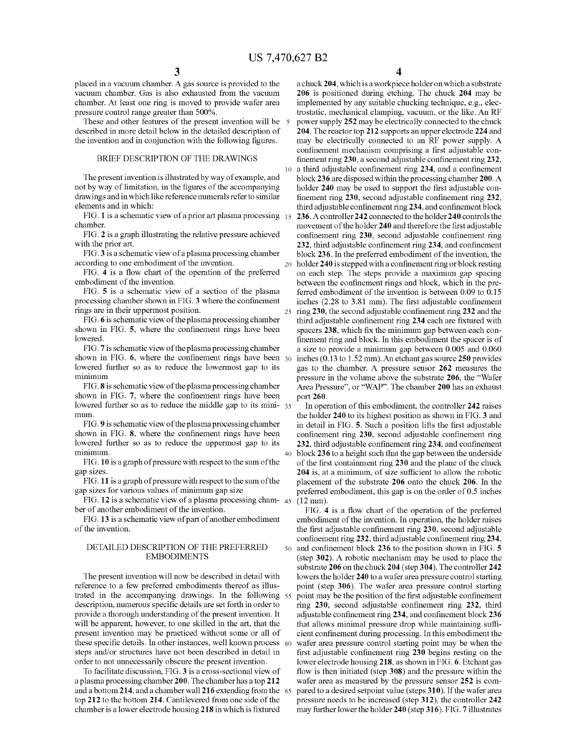10

25

placed in a vacuum chamber. A gas source is provided to the vacuum chamber. Gas is also exhausted from the vacuum chamber. At least one ring is moved to provide Wafer area pressure control range greater than 500%.

These and other features of the present invention Will be 5 described in more detail below in the detailed description of the invention and in conjunction with the following figures.

## BRIEF DESCRIPTION OF THE DRAWINGS

The present invention is illustrated by Way of example, and not by way of limitation, in the figures of the accompanying draWings and in Which like reference numerals refer to similar elements and in Which:

FIG. 1 is a schematic view of a prior art plasma processing  $15$ chamber.

FIG. 2 is a graph illustrating the relative pressure achieved with the prior art.

FIG. 3 is a schematic vieW of a plasma processing chamber according to one embodiment of the invention.

FIG. 4 is a How chart of the operation of the preferred embodiment of the invention.

FIG. 5 is a schematic vieW of a section of the plasma processing chamber shown in FIG. 3 where the confinement rings are in their uppermost position.

FIG. 6 is schematic vieW of the plasma processing chamber shown in FIG. 5, where the confinement rings have been loWered.

FIG. 7 is schematic vieW of the plasma processing chamber shown in FIG. 6, where the confinement rings have been  $30$ lowered further so as to reduce the lowermost gap to its minimum

FIG. 8 is schematic vieW of the plasma processing chamber shown in FIG. 7, where the confinement rings have been lowered further so as to reduce the middle gap to its mini- 35 mum.

FIG. 9 is schematic vieW of the plasma processing chamber shown in FIG.  $8$ , where the confinement rings have been loWered further so as to reduce the uppermost gap to its minimum.

FIG. 10 is a graph of pressure With respect to the sum of the gap siZes.

FIG. 11 is a graph of pressure With respect to the sum of the gap sizes for various values of minimum gap size

FIG. 12 is a schematic view of a plasma processing cham- $_{45}$ ber of another embodiment of the invention.

FIG. 13 is a schematic vieW of part of another embodiment of the invention.

## DETAILED DESCRIPTION OF THE PREFERRED EMBODIMENTS

The present invention will now be described in detail with reference to a feW preferred embodiments thereof as illus trated in the accompanying draWings. In the folloWing 55 description, numerous specific details are set forth in order to provide a thorough understanding of the present invention. It will be apparent, however, to one skilled in the art, that the present invention may be practiced Without some or all of these specific details. In other instances, well known process  $\epsilon_0$ steps and/or structures have not been described in detail in order to not unnecessarily obscure the present invention.

To facilitate discussion, FIG. 3 is a cross-sectional vieW of a plasma processing chamber 200. The chamber has a top 212 and a bottom 214, and a chamber Wall 216 extending from the 65 top 212 to the bottom 214. Cantilevered from one side of the chamber is a lower electrode housing 218 in which is fixtured

4

20 holder  $240$  is stepped with a confinement ring or block resting a chuck 204, Which is a Workpiece holder on Which a substrate 206 is positioned during etching. The chuck 204 may be implemented by any suitable chucking technique, e.g., elec trostatic, mechanical clamping, vacuum, or the like. An RF poWer supply 252 may be electrically connected to the chuck 204. The reactor top 212 supports an upper electrode 224 and may be electrically connected to an RF poWer supply. A confinement mechanism comprising a first adjustable confinement ring  $230$ , a second adjustable confinement ring  $232$ , a third adjustable confinement ring 234, and a confinement block 236 are disposed Within the processing chamber 200. A holder 240 may be used to support the first adjustable confinement ring 230, second adjustable confinement ring 232, third adjustable confinement ring 234, and confinement block 236. A controller 242 connected to the holder 240 controls the movement of the holder 240 and therefore the first adjustable confinement ring 230, second adjustable confinement ring 232, third adjustable confinement ring 234, and confinement block 236. In the preferred embodiment of the invention, the on each step. The steps provide a maximum gap spacing between the confinement rings and block, which in the preferred embodiment of the invention is between 0.09 to 0.15 inches  $(2.28 \text{ to } 3.81 \text{ mm})$ . The first adjustable confinement ring  $230$ , the second adjustable confinement ring  $232$  and the third adjustable confinement ring 234 each are fixtured with spacers 238, which fix the minimum gap between each confinement ring and block. In this embodiment the spacer is of a size to provide a minimum gap between 0.005 and 0.060 inches (0.13 to 1.52 mm). An etchant gas source 250 provides gas to the chamber. A pressure sensor 262 measures the pressure in the volume above the substrate 206, the "Wafer Area Pressure", or "WAP". The chamber 200 has an exhaust port 260.

40 block 236 to a height such that the gap betWeen the underside In operation of this embodiment, the controller 242 raises the holder 240 to its highest position as shoWn in FIG. 3 and in detail in FIG. 5. Such a position lifts the first adjustable confinement ring 230, second adjustable confinement ring 232, third adjustable confinement ring 234, and confinement of the first containment ring 230 and the plane of the chuck 204 is, at a minimum, of size sufficient to allow the robotic placement of the substrate 206 onto the chuck 206. In the preferred embodiment, this gap is on the order of 0.5 inches  $(12 \text{ mm})$ 

 $50$  and confinement block 236 to the position shown in FIG.  $5$ FIG. 4 is a How chart of the operation of the preferred embodiment of the invention. In operation, the holder raises the first adjustable confinement ring 230, second adjustable confinement ring 232, third adjustable confinement ring 234, (step 302). A robotic mechanism may be used to place the substrate 206 on the chuck 204 (step 304). The controller 242 lowers the holder 240 to a wafer area pressure control starting point (step 306). The Wafer area pressure control starting point may be the position of the first adjustable confinement ring  $230$ , second adjustable confinement ring  $232$ , third adjustable confinement ring 234, and confinement block 236 that allows minimal pressure drop while maintaining sufficient confinement during processing. In this embodiment the Wafer area pressure control starting point may be When the first adjustable confinement ring 230 begins resting on the lower electrode housing 218, as shown in FIG. 6. Etchant gas flow is then initiated (step 308) and the pressure within the Wafer area as measured by the pressure sensor 252 is com pared to a desired setpoint value (steps 310). If the Wafer area pressure needs to be increased (step 312), the controller 242 may further loWer the holder 240 (step 316). FIG. 7 illustrates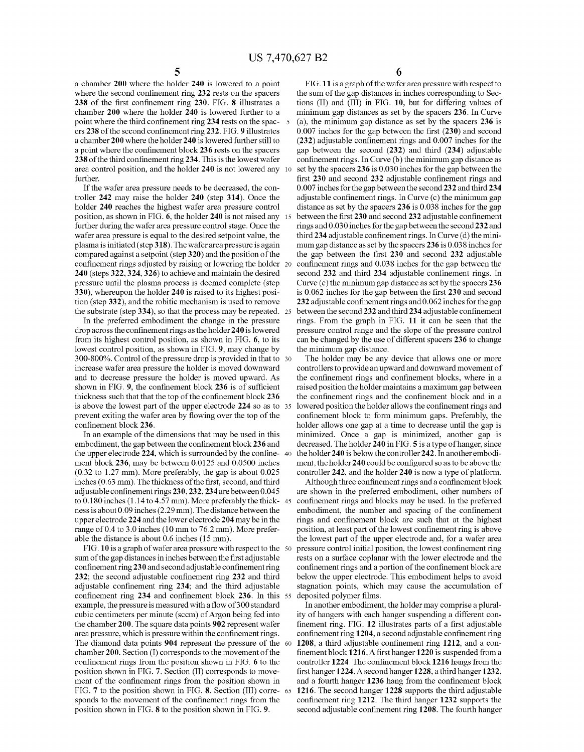5 a chamber 200 Where the holder 240 is lowered to a point where the second confinement ring  $232$  rests on the spacers  $238$  of the first confinement ring  $230$ . FIG. 8 illustrates a chamber 200 Where the holder 240 is loWered further to a point where the third confinement ring 234 rests on the spac- 5 ers 238 of the second confinement ring 232. FIG. 9 illustrates a chamber 200 Where the holder 240 is loWered further still to a point where the confinement block 236 rests on the spacers 238 of the third confinement ring 234. This is the lowest wafer area control position, and the holder 240 is not lowered any 10 further.

If the Wafer area pressure needs to be decreased, the con troller 242 may raise the holder 240 (step 314). Once the holder 240 reaches the highest Wafer area pressure control position, as shoWn in FIG. 6, the holder 240 is not raised any further during the Wafer area pressure control stage. Once the Wafer area pressure is equal to the desired setpoint value, the plasma is initiated (step 3 18). The Wafer area pressure is again compared against a setpoint (step 320) and the position of the confinement rings adjusted by raising or lowering the holder 20 240 (steps 322, 324, 326) to achieve and maintain the desired pressure until the plasma process is deemed complete (step 330), Whereupon the holder 240 is raised to its highest posi tion (step 332), and the robitic mechanism is used to remove the substrate (step 334), so that the process may be repeated. 25

In the preferred embodiment the change in the pressure drop across the confinement rings as the holder 240 is lowered from its highest control position, as shoWn in FIG. 6, to its lowest control position, as shown in FIG. 9, may change by 300-800%. Control of the pressure drop is provided in that to 30 increase Wafer area pressure the holder is moved doWnWard and to decrease pressure the holder is moved upward. As shown in FIG.  $9$ , the confinement block 236 is of sufficient thickness such that that the top of the confinement block  $236$ is above the loWest part of the upper electrode 224 so as to 35 prevent exiting the wafer area by flowing over the top of the confinement block 236.

In an example of the dimensions that may be used in this embodiment, the gap between the confinement block 236 and the upper electrode  $224$ , which is surrounded by the confine-  $40$ ment block 236, may be betWeen 0.0125 and 0.0500 inches (0.32 to 1.27 mm). More preferably, the gap is about 0.025 inches (0.63 mm). The thickness of the first, second, and third adjustable confinement rings 230, 232, 234 are between 0.045 to 0.180 inches (1 .14 to 4.57 mm). More preferably the thick 45 ness is about 0.09 inches (2.29 mm). The distance between the upper electrode 224 and the loWer electrode 204 may be in the range of 0.4 to 3.0 inches (10 mm to 76.2 mm). More prefer able the distance is about 0.6 inches (15 mm).

FIG. 10 is a graph of Wafer area pressure With respect to the 50 sum of the gap distances in inches between the first adjustable confinement ring  $230$  and second adjustable confinement ring 232; the second adjustable confinement ring 232 and third adjustable confinement ring 234; and the third adjustable confinement ring  $234$  and confinement block  $236$ . In this  $55$ example, the pressure is measured with a flow of 300 standard cubic centimeters per minute (sccm) of Argon being fed into the chamber 200. The square data points 902 represent Wafer area pressure, which is pressure within the confinement rings. The diamond data points 904 represent the pressure of the 60 chamber 200. Section (I) corresponds to the movement of the confinement rings from the position shown in FIG. 6 to the position shoWn in FIG. 7. Section (II) corresponds to move ment of the confinement rings from the position shown in FIG. 7 to the position shown in FIG. 8. Section (III) corresponds to the movement of the confinement rings from the position shoWn in FIG. 8 to the position shoWn in FIG. 9. 65

6

FIG. 11 is a graph of the Wafer area pressure With respect to the sum of the gap distances in inches corresponding to Sec tions (II) and (III) in FIG. 10, but for differing values of minimum gap distances as set by the spacers 236. In Curve (a), the minimum gap distance as set by the spacers 236 is  $0.007$  inches for the gap between the first  $(230)$  and second  $(232)$  adjustable confinement rings and 0.007 inches for the gap betWeen the second (232) and third (234) adjustable confinement rings. In Curve  $(b)$  the minimum gap distance as set by the spacers 236 is 0.030 inches for the gap between the first  $230$  and second  $232$  adjustable confinement rings and 0.007 inches for the gap betWeen the second 232 and third 234 adjustable confinement rings. In Curve  $(c)$  the minimum gap distance as set by the spacers 236 is 0.038 inches for the gap between the first 230 and second 232 adjustable confinement rings and 0.030 inches for the gap between the second 232 and third  $234$  adjustable confinement rings. In Curve (d) the minimum gap distance as set by the spacers 236 is 0.038 inches for the gap between the first  $230$  and second  $232$  adjustable confinement rings and 0.038 inches for the gap between the second 232 and third 234 adjustable confinement rings. In Curve (e) the minimum gap distance as set by the spacers 236 is 0.062 inches for the gap between the first 230 and second  $232$  adjustable confinement rings and  $0.062$  inches for the gap between the second 232 and third 234 adjustable confinement rings. From the graph in FIG. 11 it can be seen that the pressure control range and the slope of the pressure control can be changed by the use of different spacers 236 to change the minimum gap distance.

The holder may be any device that allows one or more controllers to provide an upWard and doWnWard movement of the confinement rings and confinement blocks, where in a raised position the holder maintains a maximum gap between the confinement rings and the confinement block and in a lowered position the holder allows the confinement rings and confinement block to form minimum gaps. Preferably, the holder allows one gap at a time to decrease until the gap is minimized. Once a gap is minimized, another gap is decreased. The holder 240 in FIG. 5 is a type of hanger, since the holder 240 is below the controller 242. In another embodiment, the holder 240 could be configured so as to be above the controller 242, and the holder 240 is now a type of platform.

Although three confinement rings and a confinement block are shoWn in the preferred embodiment, other numbers of confinement rings and blocks may be used. In the preferred embodiment, the number and spacing of the confinement rings and confinement block are such that at the highest position, at least part of the lowest confinement ring is above the lowest part of the upper electrode and, for a wafer area pressure control initial position, the lowest confinement ring rests on a surface coplanar With the loWer electrode and the confinement rings and a portion of the confinement block are beloW the upper electrode. This embodiment helps to avoid stagnation points, Which may cause the accumulation of deposited polymer films.

In another embodiment, the holder may comprise a plural ity of hangers With each hanger suspending a different con finement ring. FIG. 12 illustrates parts of a first adjustable confinement ring 1204, a second adjustable confinement ring 1208, a third adjustable confinement ring 1212, and a confinement block 1216. A first hanger 1220 is suspended from a controller 1224. The confinement block 1216 hangs from the first hanger 1224. A second hanger 1228, a third hanger 1232, and a fourth hanger  $1236$  hang from the confinement block 1216. The second hanger 1228 supports the third adjustable confinement ring 1212. The third hanger 1232 supports the second adjustable confinement ring 1208. The fourth hanger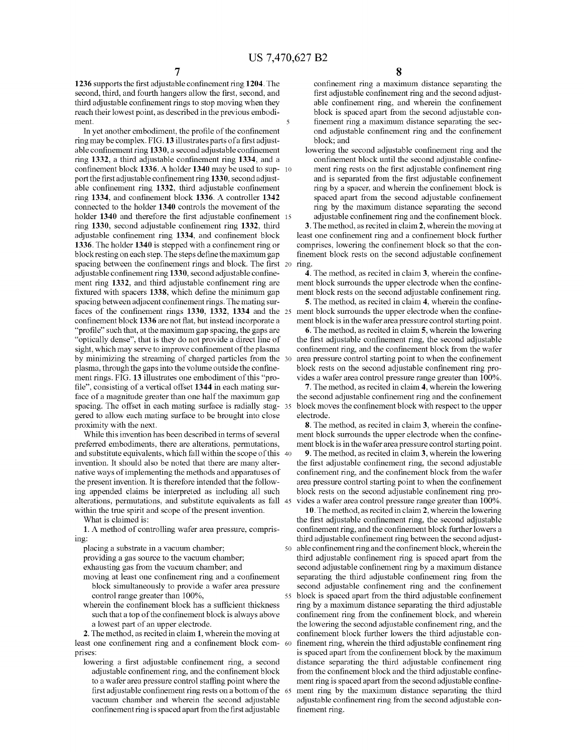50

1236 supports the first adjustable confinement ring 1204. The second, third, and fourth hangers allow the first, second, and third adjustable confinement rings to stop moving when they reach their lowest point, as described in the previous embodiment.

In yet another embodiment, the profile of the confinement ring may be complex. FIG. 13 illustrates parts of a first adjustable confinement ring 1330, a second adjustable confinement ring 1332, a third adjustable confinement ring 1334, and a confinement block 1336. A holder 1340 may be used to sup-10 port the first adjustable confinement ring 1330, second adjustable confinement ring 1332, third adjustable confinement ring 1334, and confinement block 1336. A controller 1342 connected to the holder 1340 controls the movement of the holder 1340 and therefore the first adjustable confinement 15 ring 1330, second adjustable confinement ring 1332, third adjustable confinement ring 1334, and confinement block 1336. The holder 1340 is stepped with a confinement ring or block resting on each step. The steps define the maximum gap spacing between the confinement rings and block. The first 20 adjustable confinement ring 1330, second adjustable confinement ring 1332, and third adjustable confinement ring are fixtured with spacers 1338, which define the minimum gap spacing between adjacent confinement rings. The mating surfaces of the confinement rings 1330, 1332, 1334 and the 25 confinement block 1336 are not flat, but instead incorporate a "profile" such that, at the maximum gap spacing, the gaps are "optically dense", that is they do not provide a direct line of sight, which may serve to improve confinement of the plasma by minimizing the streaming of charged particles from the 30 plasma, through the gaps into the volume outside the confinement rings. FIG. 13 illustrates one embodiment of this "profile", consisting of a vertical offset 1344 in each mating surface of a magnitude greater than one half the maximum gap spacing. The offset in each mating surface is radially stag- 35 gered to allow each mating surface to be brought into close proximity with the next.

While this invention has been described in terms of several preferred embodiments, there are alterations, permutations, and substitute equivalents, which fall within the scope of this 40 invention. It should also be noted that there are many alternative ways of implementing the methods and apparatuses of the present invention. It is therefore intended that the following appended claims be interpreted as including all such alterations, permutations, and substitute equivalents as fall 45 within the true spirit and scope of the present invention.

What is claimed is:

1. A method of controlling wafer area pressure, comprising:

placing a substrate in a vacuum chamber;

providing a gas source to the vacuum chamber;

exhausting gas from the vacuum chamber; and

- moving at least one confinement ring and a confinement block simultaneously to provide a wafer area pressure control range greater than 100%, 55
- wherein the confinement block has a sufficient thickness such that a top of the confinement block is always above a lowest part of an upper electrode.

2. The method, as recited in claim 1, wherein the moving at least one confinement ring and a confinement block com- 60 prises:

lowering a first adjustable confinement ring, a second adjustable confinement ring, and the confinement block to a wafer area pressure control staffing point where the first adjustable confinement ring rests on a bottom of the 65 vacuum chamber and wherein the second adjustable confinement ring is spaced apart from the first adjustable

confinement ring a maximum distance separating the first adjustable confinement ring and the second adjustable confinement ring, and wherein the confinement block is spaced apart from the second adjustable confinement ring a maximum distance separating the second adjustable confinement ring and the confinement block; and

lowering the second adjustable confinement ring and the confinement block until the second adjustable confinement ring rests on the first adjustable confinement ring and is separated from the first adjustable confinement ring by a spacer, and wherein the confinement block is spaced apart from the second adjustable confinement ring by the maximum distance separating the second adjustable confinement ring and the confinement block.

3. The method, as recited in claim 2, wherein the moving at least one confinement ring and a confinement block further comprises, lowering the confinement block so that the confinement block rests on the second adjustable confinement ring

4. The method, as recited in claim 3, wherein the confinement block surrounds the upper electrode when the confinement block rests on the second adjustable confinement ring.

5. The method, as recited in claim 4, wherein the confinement block surrounds the upper electrode when the confinement block is in the wafer area pressure control starting point.

6. The method, as recited in claim 5, wherein the lowering the first adjustable confinement ring, the second adjustable confinement ring, and the confinement block from the wafer area pressure control starting point to when the confinement block rests on the second adjustable confinement ring provides a wafer area control pressure range greater than 100%.

7. The method, as recited in claim 4, wherein the lowering the second adjustable confinement ring and the confinement block moves the confinement block with respect to the upper electrode.

8. The method, as recited in claim 3, wherein the confinement block surrounds the upper electrode when the confinement block is in the wafer area pressure control starting point.

9. The method, as recited in claim 3, wherein the lowering the first adjustable confinement ring, the second adjustable confinement ring, and the confinement block from the wafer area pressure control starting point to when the confinement block rests on the second adjustable confinement ring provides a wafer area control pressure range greater than 100%.

10. The method, as recited in claim 2, wherein the lowering the first adjustable confinement ring, the second adjustable confinement ring, and the confinement block further lowers a third adjustable confinement ring between the second adjustable confinement ring and the confinement block, wherein the third adjustable confinement ring is spaced apart from the second adjustable confinement ring by a maximum distance separating the third adjustable confinement ring from the second adjustable confinement ring and the confinement block is spaced apart from the third adjustable confinement ring by a maximum distance separating the third adjustable confinement ring from the confinement block, and wherein the lowering the second adjustable confinement ring, and the confinement block further lowers the third adjustable confinement ring, wherein the third adjustable confinement ring is spaced apart from the confinement block by the maximum distance separating the third adjustable confinement ring from the confinement block and the third adjustable confinement ring is spaced apart from the second adjustable confinement ring by the maximum distance separating the third adjustable confinement ring from the second adjustable confinement ring.